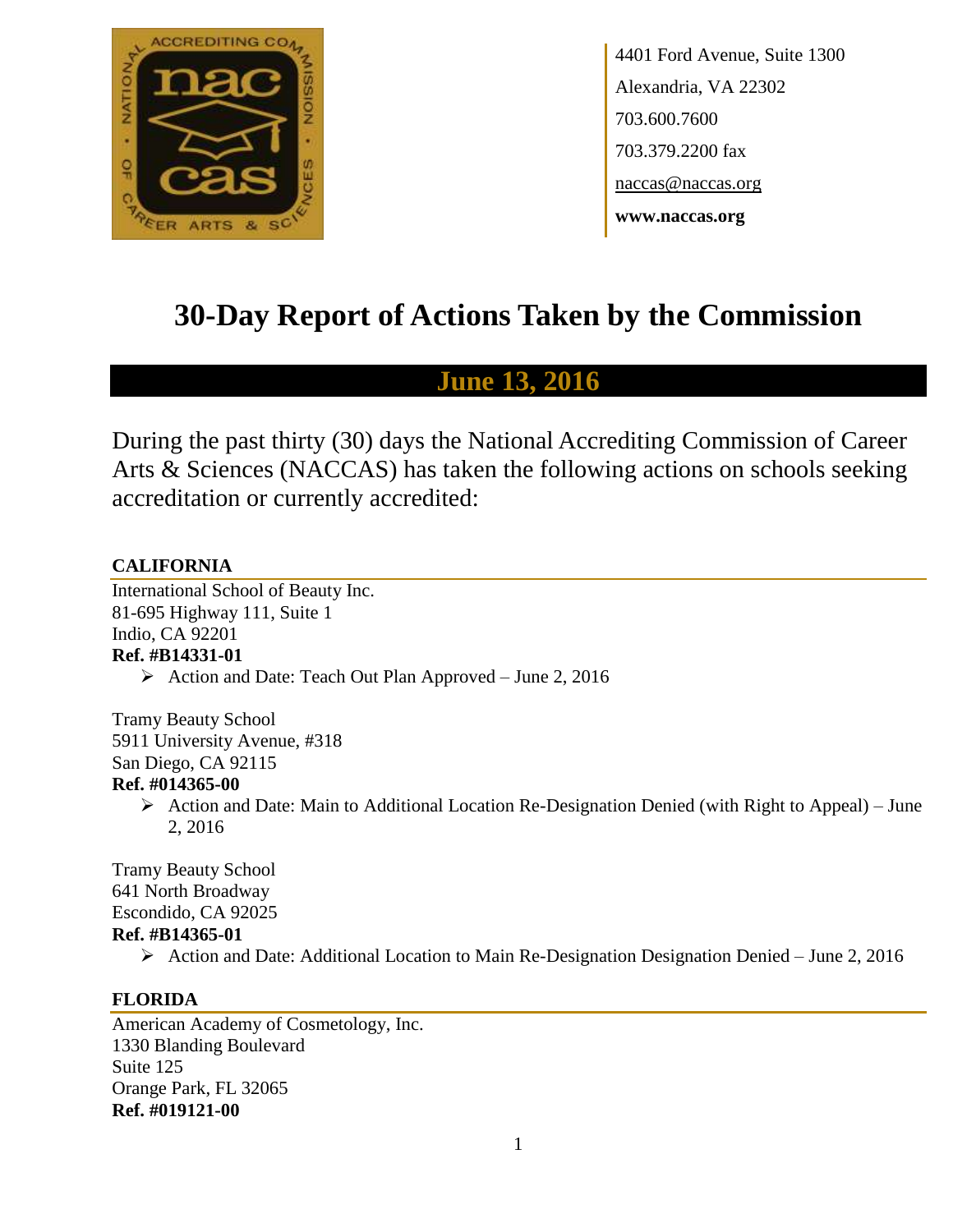

4401 Ford Avenue, Suite 1300 Alexandria, VA 22302 703.600.7600 703.379.2200 fax naccas@naccas.org **www.naccas.org**

# **30-Day Report of Actions Taken by the Commission**

# **June 13, 2016**

During the past thirty (30) days the National Accrediting Commission of Career Arts & Sciences (NACCAS) has taken the following actions on schools seeking accreditation or currently accredited:

# **CALIFORNIA**

International School of Beauty Inc. 81-695 Highway 111, Suite 1 Indio, CA 92201 **Ref. #B14331-01**

 $\triangleright$  Action and Date: Teach Out Plan Approved – June 2, 2016

Tramy Beauty School 5911 University Avenue, #318 San Diego, CA 92115 **Ref. #014365-00**

> $\triangleright$  Action and Date: Main to Additional Location Re-Designation Denied (with Right to Appeal) – June 2, 2016

Tramy Beauty School 641 North Broadway Escondido, CA 92025 **Ref. #B14365-01**

Action and Date: Additional Location to Main Re-Designation Designation Denied – June 2, 2016

# **FLORIDA**

American Academy of Cosmetology, Inc. 1330 Blanding Boulevard Suite 125 Orange Park, FL 32065 **Ref. #019121-00**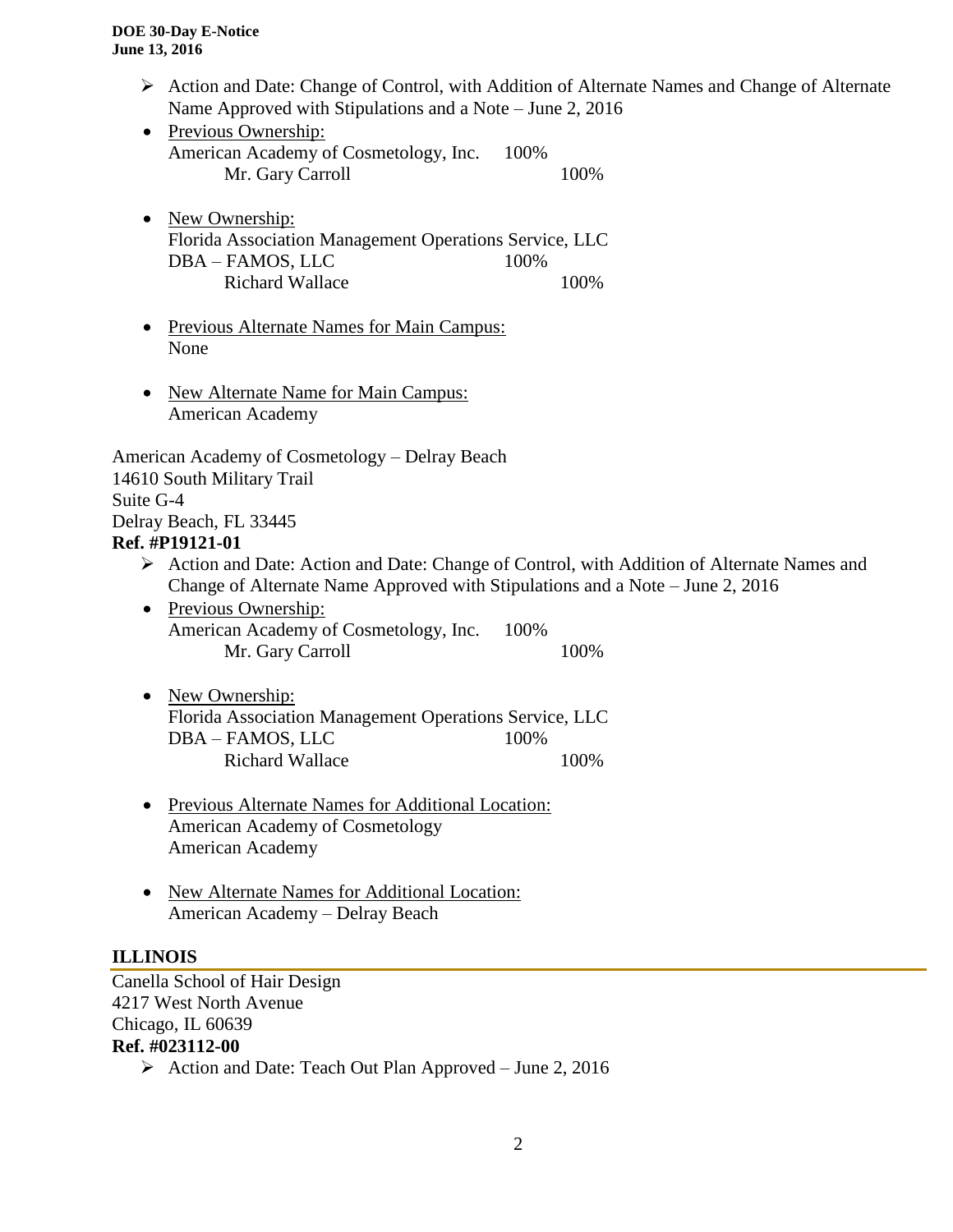- $\triangleright$  Action and Date: Change of Control, with Addition of Alternate Names and Change of Alternate Name Approved with Stipulations and a Note – June 2, 2016
- Previous Ownership: American Academy of Cosmetology, Inc. 100% Mr. Gary Carroll 100%
- New Ownership: Florida Association Management Operations Service, LLC DBA – FAMOS, LLC 100% Richard Wallace 100%
- Previous Alternate Names for Main Campus: None
- New Alternate Name for Main Campus: American Academy

American Academy of Cosmetology – Delray Beach 14610 South Military Trail Suite G-4 Delray Beach, FL 33445 **Ref. #P19121-01**

- Action and Date: Action and Date: Change of Control, with Addition of Alternate Names and Change of Alternate Name Approved with Stipulations and a Note – June 2, 2016
- Previous Ownership: American Academy of Cosmetology, Inc. 100% Mr. Gary Carroll 100%
- New Ownership: Florida Association Management Operations Service, LLC DBA – FAMOS, LLC 100% Richard Wallace 100%
- Previous Alternate Names for Additional Location: American Academy of Cosmetology American Academy
- New Alternate Names for Additional Location: American Academy – Delray Beach

# **ILLINOIS**

Canella School of Hair Design 4217 West North Avenue Chicago, IL 60639 **Ref. #023112-00**

Action and Date: Teach Out Plan Approved – June 2, 2016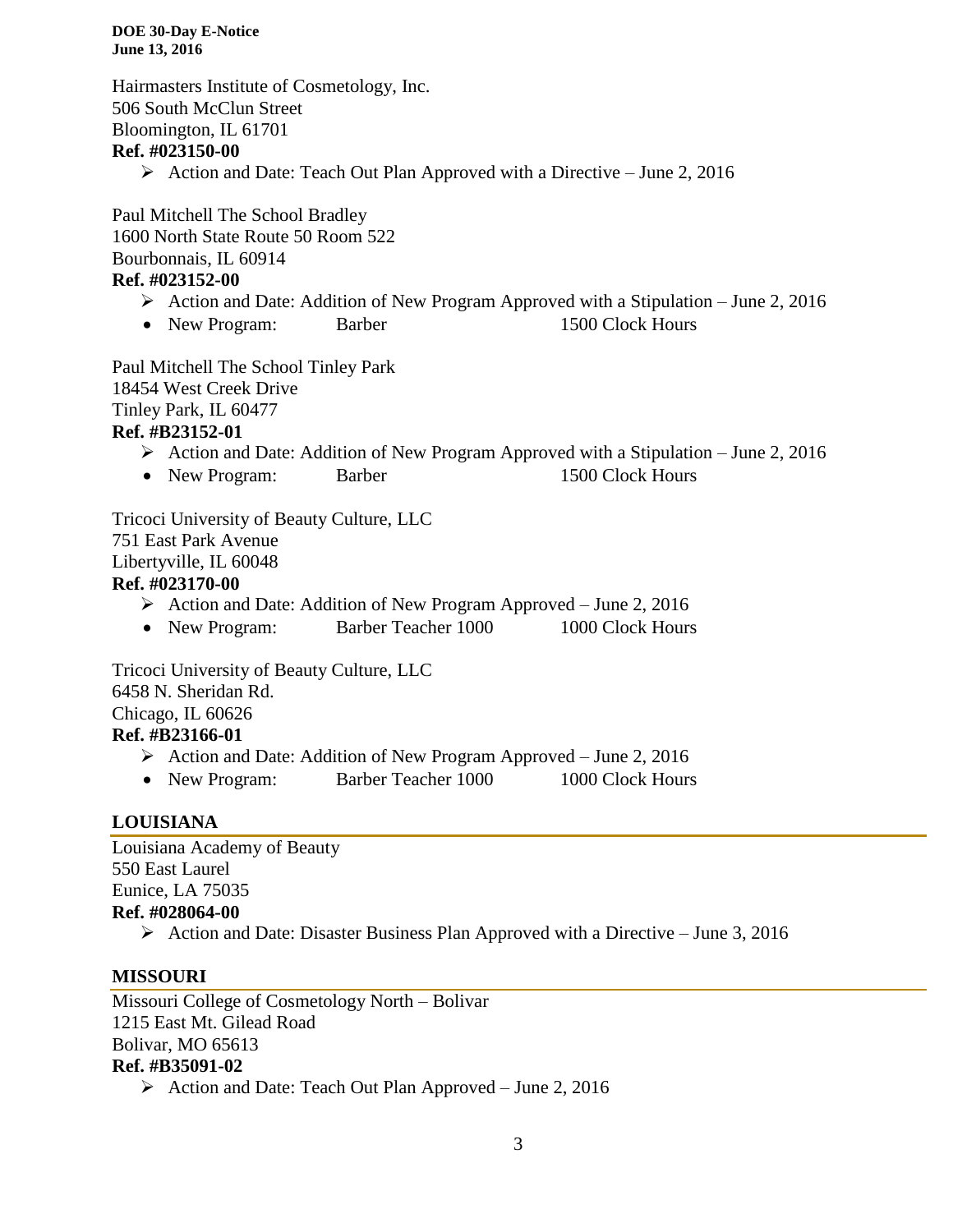**DOE 30-Day E-Notice June 13, 2016**

Hairmasters Institute of Cosmetology, Inc. 506 South McClun Street Bloomington, IL 61701 **Ref. #023150-00**

Action and Date: Teach Out Plan Approved with a Directive – June 2, 2016

Paul Mitchell The School Bradley 1600 North State Route 50 Room 522 Bourbonnais, IL 60914

# **Ref. #023152-00**

- Action and Date: Addition of New Program Approved with a Stipulation June 2, 2016
- New Program: Barber 1500 Clock Hours

Paul Mitchell The School Tinley Park 18454 West Creek Drive Tinley Park, IL 60477 **Ref. #B23152-01**

- $\triangleright$  Action and Date: Addition of New Program Approved with a Stipulation June 2, 2016
- New Program: Barber 1500 Clock Hours

Tricoci University of Beauty Culture, LLC 751 East Park Avenue Libertyville, IL 60048 **Ref. #023170-00**

- Action and Date: Addition of New Program Approved June 2, 2016
- New Program: Barber Teacher 1000 1000 Clock Hours

Tricoci University of Beauty Culture, LLC 6458 N. Sheridan Rd. Chicago, IL 60626 **Ref. #B23166-01**

- Action and Date: Addition of New Program Approved June 2, 2016
- New Program: Barber Teacher 1000 1000 Clock Hours

# **LOUISIANA**

Louisiana Academy of Beauty 550 East Laurel Eunice, LA 75035 **Ref. #028064-00**

Action and Date: Disaster Business Plan Approved with a Directive – June 3, 2016

# **MISSOURI**

Missouri College of Cosmetology North – Bolivar 1215 East Mt. Gilead Road Bolivar, MO 65613 **Ref. #B35091-02**

 $\triangleright$  Action and Date: Teach Out Plan Approved – June 2, 2016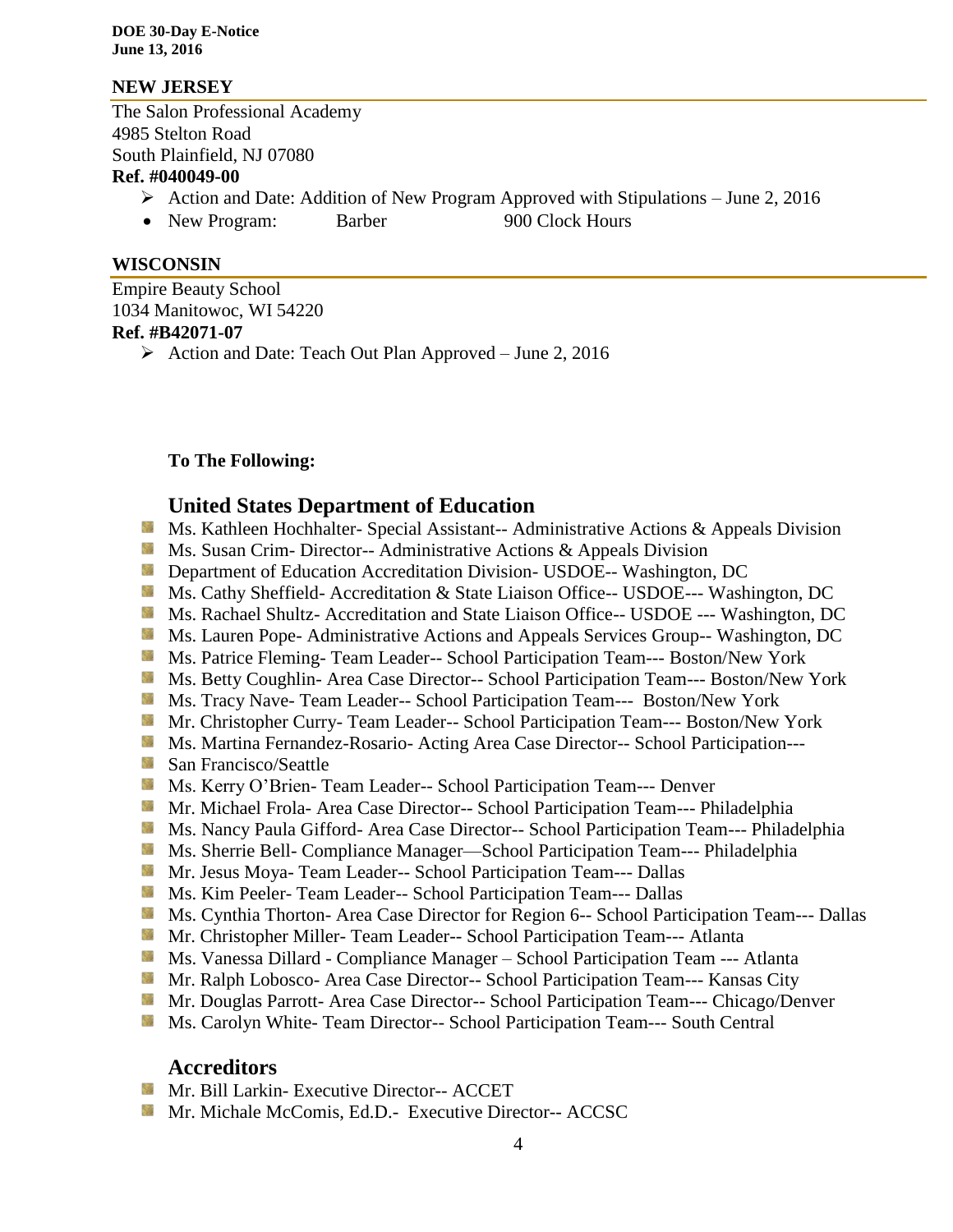**DOE 30-Day E-Notice June 13, 2016**

#### **NEW JERSEY**

The Salon Professional Academy 4985 Stelton Road South Plainfield, NJ 07080 **Ref. #040049-00**

# $\triangleright$  Action and Date: Addition of New Program Approved with Stipulations – June 2, 2016

- 
- New Program: Barber 900 Clock Hours

#### **WISCONSIN**

Empire Beauty School 1034 Manitowoc, WI 54220 **Ref. #B42071-07**

 $\triangleright$  Action and Date: Teach Out Plan Approved – June 2, 2016

### **To The Following:**

# **United States Department of Education**

- **Ms. Kathleen Hochhalter- Special Assistant-- Administrative Actions & Appeals Division**
- **Ms.** Susan Crim-Director-- Administrative Actions  $\&$  Appeals Division
- **Department of Education Accreditation Division- USDOE-- Washington, DC**
- Ms. Cathy Sheffield- Accreditation & State Liaison Office-- USDOE--- Washington, DC
- **Ms. Rachael Shultz- Accreditation and State Liaison Office-- USDOE --- Washington, DC**
- **Ms. Lauren Pope- Administrative Actions and Appeals Services Group-- Washington, DC**
- Ms. Patrice Fleming- Team Leader-- School Participation Team--- Boston/New York
- Ms. Betty Coughlin- Area Case Director-- School Participation Team--- Boston/New York
- **MS. Tracy Nave-Team Leader-- School Participation Team--- Boston/New York**
- Mr. Christopher Curry- Team Leader-- School Participation Team--- Boston/New York
- **Ms. Martina Fernandez-Rosario- Acting Area Case Director-- School Participation---**
- San Francisco/Seattle
- Ms. Kerry O'Brien- Team Leader-- School Participation Team--- Denver
- **Mr. Michael Frola- Area Case Director-- School Participation Team--- Philadelphia**
- Ms. Nancy Paula Gifford- Area Case Director-- School Participation Team--- Philadelphia
- **Ms.** Sherrie Bell- Compliance Manager—School Participation Team--- Philadelphia
- Mr. Jesus Moya- Team Leader-- School Participation Team--- Dallas
- Ms. Kim Peeler- Team Leader-- School Participation Team--- Dallas
- **Ms. Cynthia Thorton- Area Case Director for Region 6-- School Participation Team--- Dallas**
- Mr. Christopher Miller- Team Leader-- School Participation Team--- Atlanta
- **Ms. Vanessa Dillard Compliance Manager School Participation Team --- Atlanta**
- **Mr. Ralph Lobosco- Area Case Director-- School Participation Team--- Kansas City**
- Mr. Douglas Parrott- Area Case Director-- School Participation Team--- Chicago/Denver
- **Ms. Carolyn White- Team Director-- School Participation Team--- South Central**

# **Accreditors**

- **Mr. Bill Larkin- Executive Director-- ACCET**
- **Mr. Michale McComis, Ed.D.- Executive Director-- ACCSC**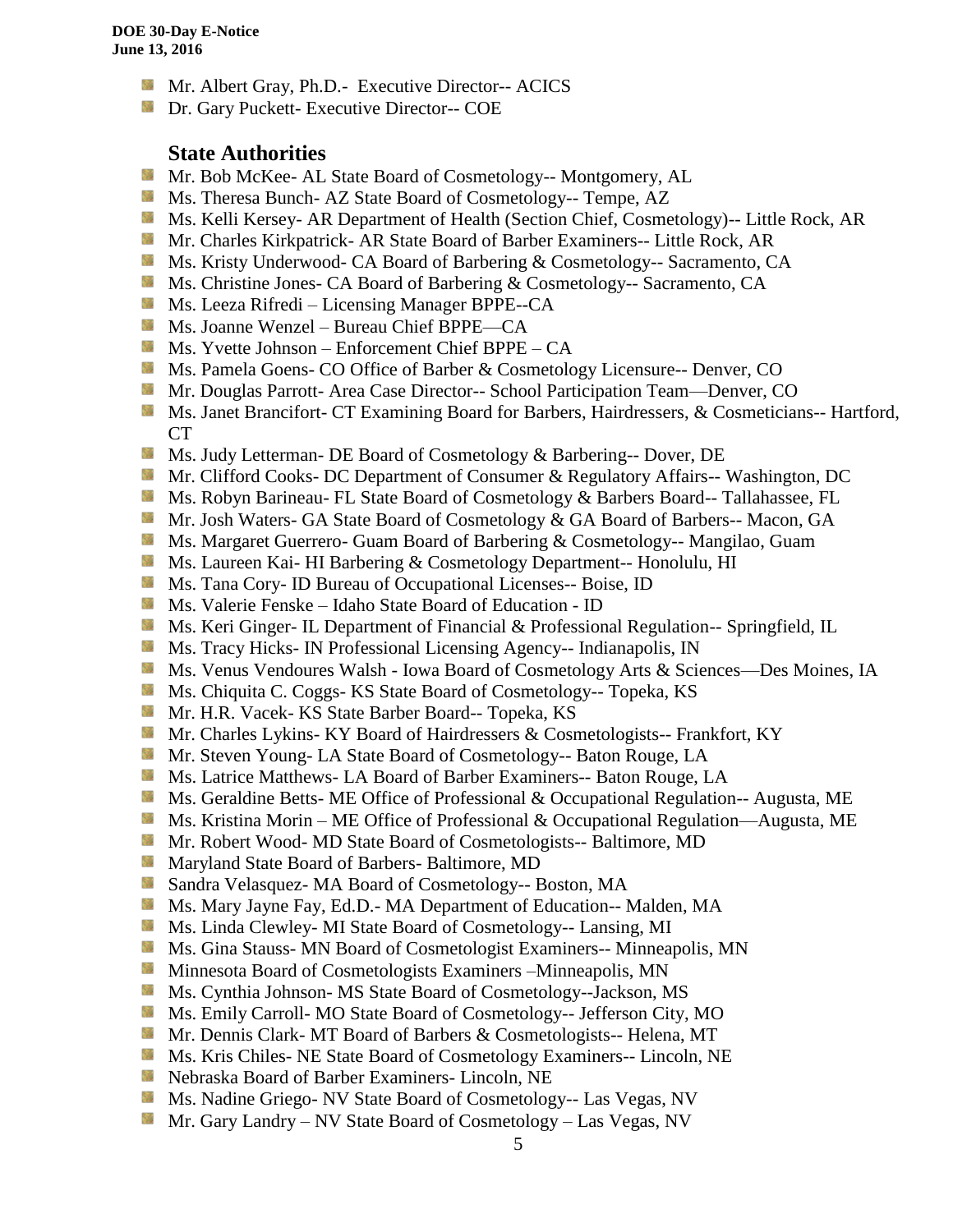- **Mr.** Albert Gray, Ph.D.- Executive Director-- ACICS
- **Dr.** Gary Puckett- Executive Director-- COE

### **State Authorities**

- **Mr. Bob McKee- AL State Board of Cosmetology-- Montgomery, AL**
- Ms. Theresa Bunch- AZ State Board of Cosmetology-- Tempe, AZ
- Ms. Kelli Kersey- AR Department of Health (Section Chief, Cosmetology)-- Little Rock, AR
- Mr. Charles Kirkpatrick- AR State Board of Barber Examiners-- Little Rock, AR
- Ms. Kristy Underwood- CA Board of Barbering & Cosmetology-- Sacramento, CA
- Ms. Christine Jones- CA Board of Barbering & Cosmetology-- Sacramento, CA
- Ms. Leeza Rifredi Licensing Manager BPPE--CA
- Ms. Joanne Wenzel Bureau Chief BPPE—CA
- $M_s$  Ms. Yvette Johnson Enforcement Chief BPPE CA
- Ms. Pamela Goens- CO Office of Barber & Cosmetology Licensure-- Denver, CO
- Mr. Douglas Parrott- Area Case Director-- School Participation Team—Denver, CO
- Ms. Janet Brancifort- CT Examining Board for Barbers, Hairdressers, & Cosmeticians-- Hartford, CT
- **Ms.** Judy Letterman- DE Board of Cosmetology & Barbering-- Dover, DE
- **Mr. Clifford Cooks- DC Department of Consumer & Regulatory Affairs-- Washington, DC**
- Ms. Robyn Barineau- FL State Board of Cosmetology & Barbers Board-- Tallahassee, FL
- **Mr.** Josh Waters- GA State Board of Cosmetology & GA Board of Barbers-- Macon, GA
- **Ms. Margaret Guerrero- Guam Board of Barbering & Cosmetology-- Mangilao, Guam**
- **Ms. Laureen Kai- HI Barbering & Cosmetology Department-- Honolulu, HI**
- **Ms.** Tana Cory- ID Bureau of Occupational Licenses-- Boise, ID
- Ms. Valerie Fenske Idaho State Board of Education ID
- **MS. Keri Ginger- IL Department of Financial & Professional Regulation-- Springfield, IL**
- **MS.** Tracy Hicks- IN Professional Licensing Agency-- Indianapolis, IN
- Ms. Venus Vendoures Walsh Iowa Board of Cosmetology Arts & Sciences—Des Moines, IA
- Ms. Chiquita C. Coggs- KS State Board of Cosmetology-- Topeka, KS
- Mr. H.R. Vacek- KS State Barber Board-- Topeka, KS
- **Mr.** Charles Lykins- KY Board of Hairdressers & Cosmetologists-- Frankfort, KY
- **Mr. Steven Young- LA State Board of Cosmetology-- Baton Rouge, LA**
- **Ms. Latrice Matthews- LA Board of Barber Examiners-- Baton Rouge, LA**
- **Ms. Geraldine Betts- ME Office of Professional & Occupational Regulation-- Augusta, ME**
- Ms. Kristina Morin ME Office of Professional & Occupational Regulation—Augusta, ME
- **Mr.** Robert Wood- MD State Board of Cosmetologists-- Baltimore, MD
- **Maryland State Board of Barbers- Baltimore, MD**
- Sandra Velasquez- MA Board of Cosmetology-- Boston, MA
- Ms. Mary Jayne Fay, Ed.D.- MA Department of Education-- Malden, MA
- Ms. Linda Clewley- MI State Board of Cosmetology-- Lansing, MI
- Ms. Gina Stauss- MN Board of Cosmetologist Examiners-- Minneapolis, MN
- **Minnesota Board of Cosmetologists Examiners –Minneapolis, MN**
- **Ms.** Cynthia Johnson-MS State Board of Cosmetology--Jackson, MS
- Ms. Emily Carroll- MO State Board of Cosmetology-- Jefferson City, MO
- Mr. Dennis Clark- MT Board of Barbers & Cosmetologists-- Helena, MT
- **Ms. Kris Chiles- NE State Board of Cosmetology Examiners-- Lincoln, NE**
- Nebraska Board of Barber Examiners- Lincoln, NE
- **Ms. Nadine Griego- NV State Board of Cosmetology-- Las Vegas, NV**
- Mr. Gary Landry NV State Board of Cosmetology Las Vegas, NV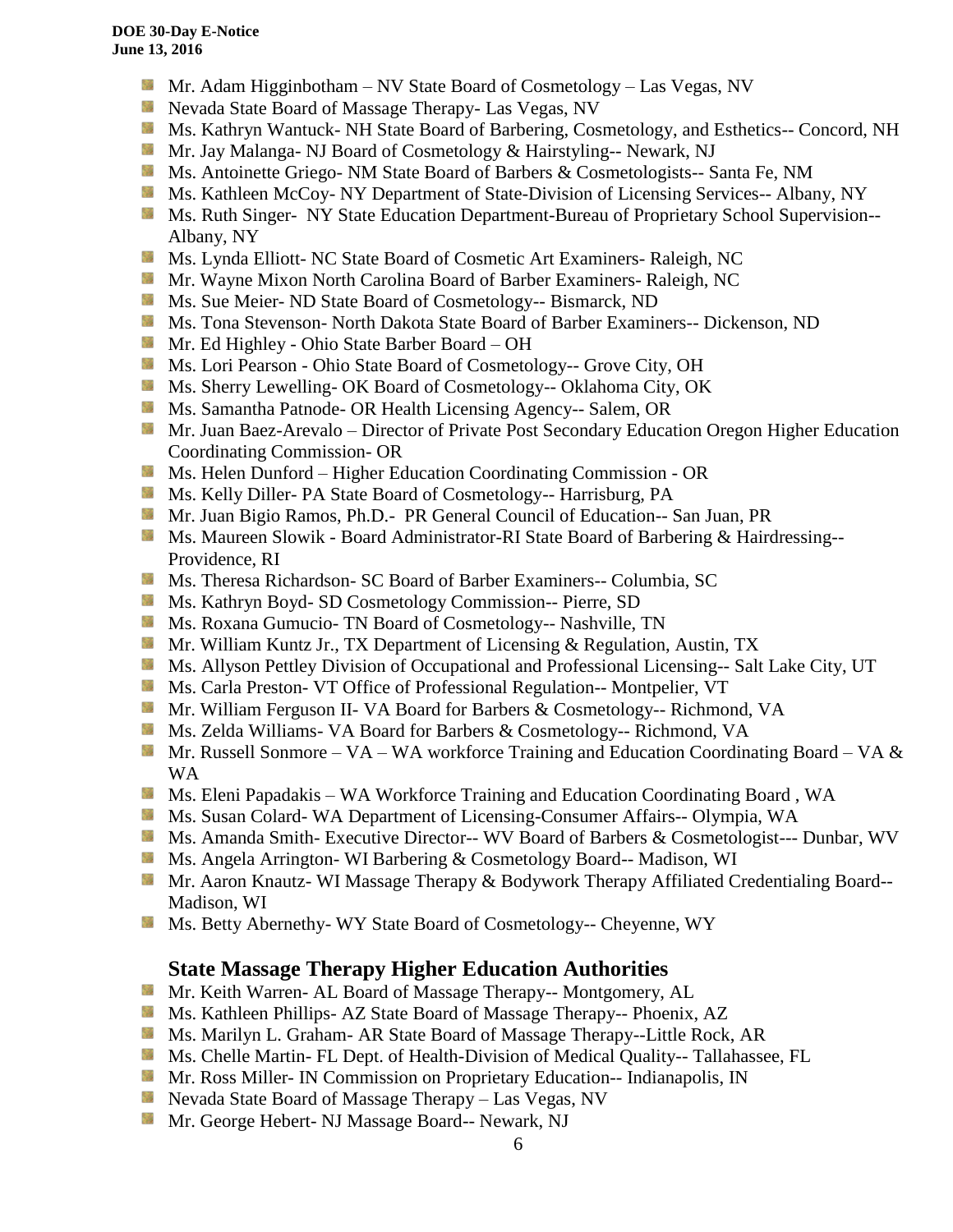- **Mr.** Adam Higginbotham NV State Board of Cosmetology Las Vegas, NV
- **Nevada State Board of Massage Therapy- Las Vegas, NV**
- **Ms. Kathryn Wantuck- NH State Board of Barbering, Cosmetology, and Esthetics-- Concord, NH**
- **Mr. Jay Malanga- NJ Board of Cosmetology & Hairstyling-- Newark, NJ**
- Ms. Antoinette Griego- NM State Board of Barbers & Cosmetologists-- Santa Fe, NM
- **Ms. Kathleen McCoy- NY Department of State-Division of Licensing Services-- Albany, NY**
- **MS. Ruth Singer- NY State Education Department-Bureau of Proprietary School Supervision--**Albany, NY
- **Ms.** Lynda Elliott- NC State Board of Cosmetic Art Examiners- Raleigh, NC
- **Mr. Wayne Mixon North Carolina Board of Barber Examiners- Raleigh, NC**
- **MS.** Sue Meier- ND State Board of Cosmetology-- Bismarck, ND
- Ms. Tona Stevenson- North Dakota State Board of Barber Examiners-- Dickenson, ND
- Mr. Ed Highley Ohio State Barber Board OH
- Ms. Lori Pearson Ohio State Board of Cosmetology-- Grove City, OH
- **Ms. Sherry Lewelling- OK Board of Cosmetology-- Oklahoma City, OK**
- **Ms. Samantha Patnode- OR Health Licensing Agency-- Salem, OR**
- **Mr. Juan Baez-Arevalo** Director of Private Post Secondary Education Oregon Higher Education Coordinating Commission- OR
- **MS.** Helen Dunford Higher Education Coordinating Commission OR
- **Ms. Kelly Diller- PA State Board of Cosmetology-- Harrisburg, PA**
- Mr. Juan Bigio Ramos, Ph.D.- PR General Council of Education-- San Juan, PR
- Ms. Maureen Slowik Board Administrator-RI State Board of Barbering & Hairdressing--Providence, RI
- Ms. Theresa Richardson- SC Board of Barber Examiners-- Columbia, SC
- **Ms. Kathryn Boyd- SD Cosmetology Commission-- Pierre, SD**
- **Ms. Roxana Gumucio- TN Board of Cosmetology-- Nashville, TN**
- **Mr. William Kuntz Jr., TX Department of Licensing & Regulation, Austin, TX**
- **Ms.** Allyson Pettley Division of Occupational and Professional Licensing-- Salt Lake City, UT
- **Ms. Carla Preston- VT Office of Professional Regulation-- Montpelier, VT**
- Mr. William Ferguson II- VA Board for Barbers & Cosmetology-- Richmond, VA
- **Ms. Zelda Williams- VA Board for Barbers & Cosmetology-- Richmond, VA**
- Mr. Russell Sonmore VA WA workforce Training and Education Coordinating Board VA  $\&$ WA
- Ms. Eleni Papadakis WA Workforce Training and Education Coordinating Board, WA
- **Ms. Susan Colard- WA Department of Licensing-Consumer Affairs-- Olympia, WA**
- Ms. Amanda Smith- Executive Director-- WV Board of Barbers & Cosmetologist--- Dunbar, WV
- **Ms.** Angela Arrington- WI Barbering & Cosmetology Board-- Madison, WI
- Mr. Aaron Knautz- WI Massage Therapy & Bodywork Therapy Affiliated Credentialing Board--Madison, WI
- Ms. Betty Abernethy- WY State Board of Cosmetology-- Cheyenne, WY

# **State Massage Therapy Higher Education Authorities**

- **Mr. Keith Warren- AL Board of Massage Therapy-- Montgomery, AL**
- **Ms. Kathleen Phillips- AZ State Board of Massage Therapy-- Phoenix, AZ**
- Ms. Marilyn L. Graham- AR State Board of Massage Therapy--Little Rock, AR
- **Ms. Chelle Martin- FL Dept. of Health-Division of Medical Quality-- Tallahassee, FL**
- **Mr. Ross Miller- IN Commission on Proprietary Education-- Indianapolis, IN**
- **Nevada State Board of Massage Therapy Las Vegas, NV**
- **Mr. George Hebert- NJ Massage Board-- Newark, NJ**